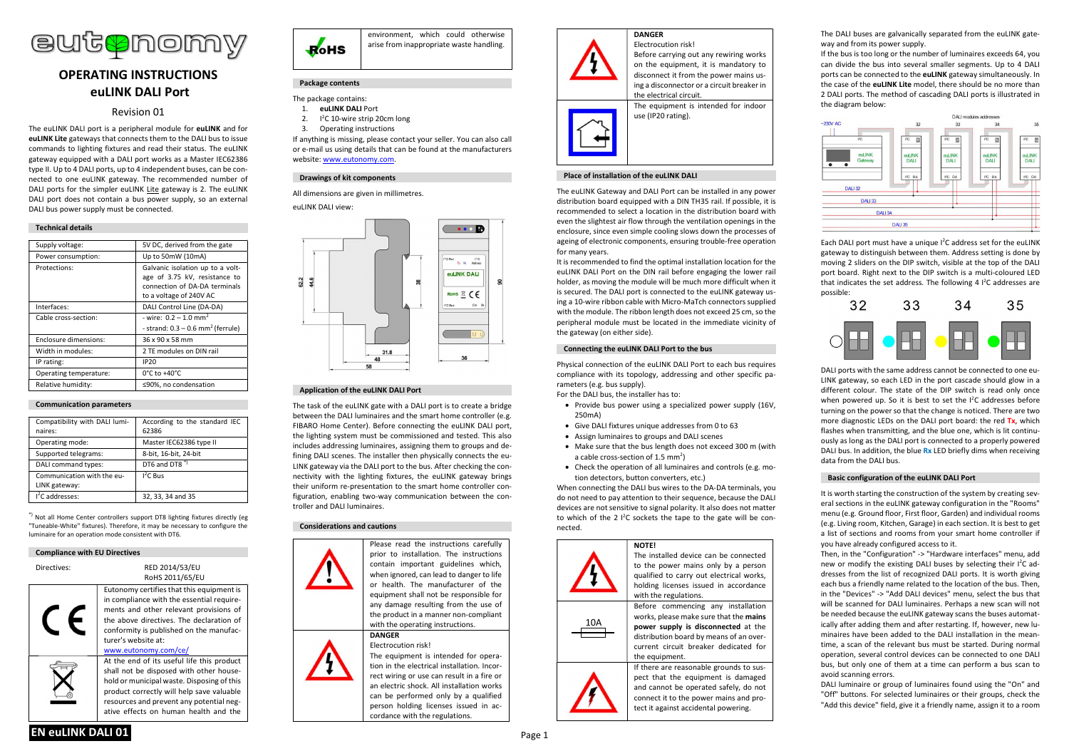

# OPERATING INSTRUCTIONS euLINK DALI Port

## Revision 01

The euLINK DALL port is a peripheral module for euLINK and for euLINK Lite gateways that connects them to the DALI bus to issue commands to lighting fixtures and read their status. The euLINK gateway equipped with a DALI port works as a Master IEC62386 type II. Up to 4 DALI ports, up to 4 independent buses, can be connected to one euLINK gateway. The recommended number of DALI ports for the simpler euLINK Lite gateway is 2. The euLINK DALI port does not contain a bus power supply, so an external DALI bus power supply must be connected.

## Technical details

| Supply voltage:        | 5V DC, derived from the gate                                                                                                  |
|------------------------|-------------------------------------------------------------------------------------------------------------------------------|
| Power consumption:     | Up to 50mW (10mA)                                                                                                             |
| Protections:           | Galvanic isolation up to a volt-<br>age of 3.75 kV, resistance to<br>connection of DA-DA terminals<br>to a voltage of 240V AC |
| Interfaces:            | DALI Control Line (DA-DA)                                                                                                     |
| Cable cross-section:   | - wire: $0.2 - 1.0$ mm <sup>2</sup>                                                                                           |
|                        | - strand: $0.3 - 0.6$ mm <sup>2</sup> (ferrule)                                                                               |
| Enclosure dimensions:  | 36 x 90 x 58 mm                                                                                                               |
| Width in modules:      | 2 TE modules on DIN rail                                                                                                      |
| IP rating:             | <b>IP20</b>                                                                                                                   |
| Operating temperature: | $0^{\circ}$ C to +40 $^{\circ}$ C                                                                                             |
| Relative humidity:     | ≤90%, no condensation                                                                                                         |
|                        |                                                                                                                               |

#### Communication parameters

| Compatibility with DALI lumi- | According to the standard IEC |
|-------------------------------|-------------------------------|
| naires:                       | 62386                         |
| Operating mode:               | Master IEC62386 type II       |
| Supported telegrams:          | 8-bit, 16-bit, 24-bit         |
| DALI command types:           | DT6 and DT8 <sup>*</sup>      |
| Communication with the eu-    | $1^2$ C Bus                   |
| LINK gateway:                 |                               |
| $12C$ addresses:              | 32, 33, 34 and 35             |

\*) Not all Home Center controllers support DT8 lighting fixtures directly (eg "Tuneable-White" fixtures). Therefore, it may be necessary to configure the luminaire for an operation mode consistent with DT6.

Compliance with EU Directives

Directives: RED 2014/53/EU

Eutonomy certifies that this equipment is in compliance with the essential requirements and other relevant provisions of



At the end of its useful life this product shall not be disposed with other household or municipal waste. Disposing of this product correctly will help save valuable resources and prevent any potential negative effects on human health and the

RoHS 2011/65/EU



# Package contents

The package contains:

- 1. euLINK DALI Port  $2^{\circ}$ <sup>2</sup>C 10-wire strip 20cm long
- 3. Operating instructions

If anything is missing, please contact your seller. You can also call or e-mail us using details that can be found at the manufacturers website: www.eutonomy.com.

## Drawings of kit components

All dimensions are given in millimetres.

euLINK DALL view:



## Application of the euLINK DALI Port

The task of the euLINK gate with a DALI port is to create a bridge between the DALI luminaires and the smart home controller (e.g. FIBARO Home Center). Before connecting the euLINK DALI port, the lighting system must be commissioned and tested. This also includes addressing luminaires, assigning them to groups and defining DALI scenes. The installer then physically connects the eu-LINK gateway via the DALI port to the bus. After checking the connectivity with the lighting fixtures, the euLINK gateway brings their uniform re-presentation to the smart home controller configuration, enabling two-way communication between the controller and DALI luminaires.

#### Considerations and cautions

Please read the instructions carefully prior to installation. The instructions contain important guidelines which, when ignored, can lead to danger to life or health. The manufacturer of the equipment shall not be responsible for any damage resulting from the use of the product in a manner non-compliant with the onerating instructions. **DANGER** 

Electrocution risk! The equipment is intended for operation in the electrical installation. Incorrect wiring or use can result in a fire or an electric shock. All installation works can be performed only by a qualified person holding licenses issued in accordance with the regulations.

#### DANGER Electrocution risk!



## Place of installation of the euLINK DALI

The euLINK Gateway and DALI Port can be installed in any power distribution board equipped with a DIN TH35 rail. If possible, it is recommended to select a location in the distribution board with even the slightest air flow through the ventilation openings in the enclosure, since even simple cooling slows down the processes of ageing of electronic components, ensuring trouble-free operation for many years.

It is recommended to find the optimal installation location for the euLINK DALI Port on the DIN rail before engaging the lower rail holder, as moving the module will be much more difficult when it is secured. The DALI port is connected to the euLINK gateway using a 10-wire ribbon cable with Micro-MaTch connectors supplied with the module. The ribbon length does not exceed 25 cm, so the peripheral module must be located in the immediate vicinity of the gateway (on either side).

## Connecting the euLINK DALI Port to the bus

Physical connection of the euLINK DALI Port to each bus requires compliance with its topology, addressing and other specific parameters (e.g. bus supply).

For the DALI bus, the installer has to:

- Provide bus power using a specialized power supply (16V, 250mA)
- Give DALI fixtures unique addresses from 0 to 63
- Assign luminaires to groups and DALI scenes

NOTE!

- Make sure that the bus length does not exceed 300 m (with a cable cross-section of 1.5 mm<sup>2</sup>)
- Check the operation of all luminaires and controls (e.g. motion detectors, button converters, etc.)

When connecting the DALI bus wires to the DA-DA terminals, you do not need to pay attention to their sequence, because the DALI devices are not sensitive to signal polarity. It also does not matter to which of the 2 $1<sup>2</sup>C$  sockets the tape to the gate will be connected.

with the regulations.

the equipment.

The installed device can be connected to the power mains only by a person qualified to carry out electrical works, holding licenses issued in accordance

 Before commencing any installation works, please make sure that the mains power supply is disconnected at the distribution board by means of an overcurrent circuit breaker dedicated for

If there are reasonable grounds to suspect that the equipment is damaged and cannot be operated safely, do not connect it to the power mains and protect it against accidental powering.





The DALI buses are galvanically separated from the euLINK gateway and from its power supply.

If the bus is too long or the number of luminaires exceeds 64, you can divide the bus into several smaller segments. Up to 4 DALI ports can be connected to the euLINK gateway simultaneously. In the case of the euLINK Lite model, there should be no more than 2 DALI ports. The method of cascading DALI ports is illustrated in the diagram below:



Each DALI port must have a unique I<sup>2</sup>C address set for the euLINK gateway to distinguish between them. Address setting is done by moving 2 sliders on the DIP switch, visible at the top of the DALI port board. Right next to the DIP switch is a multi-coloured LED that indicates the set address. The following 4  $1^2C$  addresses are possible:



DALI ports with the same address cannot be connected to one eu-LINK gateway, so each LED in the port cascade should glow in a different colour. The state of the DIP switch is read only once when powered up. So it is best to set the I<sup>2</sup>C addresses before turning on the power so that the change is noticed. There are two more diagnostic LEDs on the DALI port board: the red Tx, which flashes when transmitting, and the blue one, which is lit continuously as long as the DALI port is connected to a properly powered DALI bus. In addition, the blue Rx LED briefly dims when receiving data from the DALI bus.

## Basic configuration of the euLINK DALI Port

It is worth starting the construction of the system by creating several sections in the euLINK gateway configuration in the "Rooms" menu (e.g. Ground floor, First floor, Garden) and individual rooms (e.g. Living room, Kitchen, Garage) in each section. It is best to get a list of sections and rooms from your smart home controller if you have already configured access to it.

Then, in the "Configuration" -> "Hardware interfaces" menu, add new or modify the existing DALI buses by selecting their I<sup>2</sup>C addresses from the list of recognized DALI ports. It is worth giving each bus a friendly name related to the location of the bus. Then, in the "Devices" -> "Add DALI devices" menu, select the bus that will be scanned for DALI luminaires. Perhaps a new scan will not be needed because the euLINK gateway scans the buses automatically after adding them and after restarting. If, however, new luminaires have been added to the DALI installation in the meantime, a scan of the relevant bus must be started. During normal operation, several control devices can be connected to one DALI bus, but only one of them at a time can perform a bus scan to avoid scanning errors.

DALI luminaire or group of luminaires found using the "On" and "Off" buttons. For selected luminaires or their groups, check the "Add this device" field, give it a friendly name, assign it to a room

EN euLINK DALI 01 Page 1